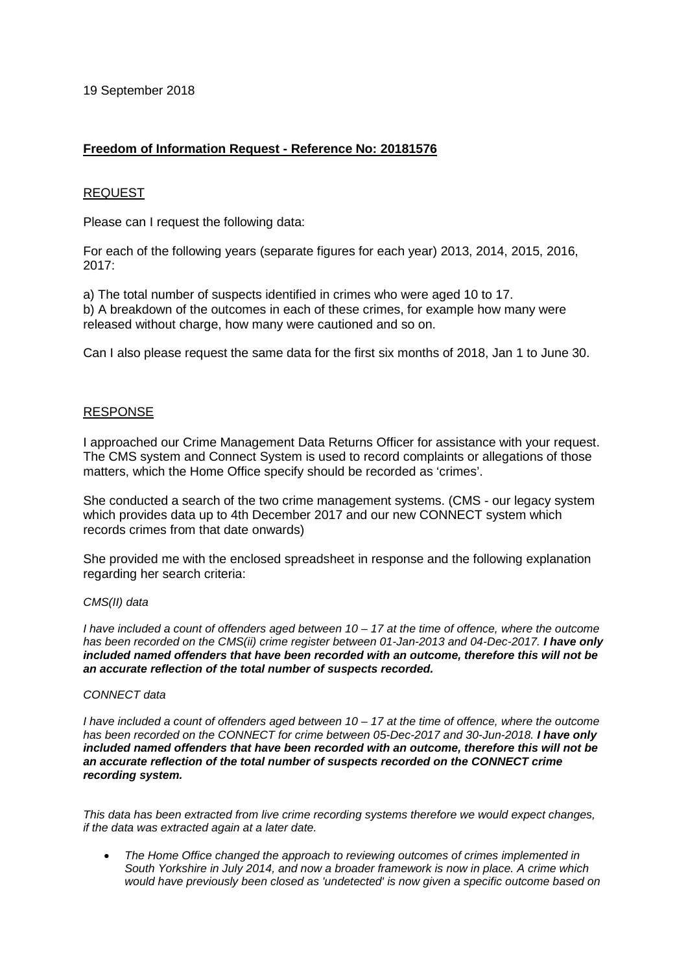19 September 2018

# **Freedom of Information Request - Reference No: 20181576**

## REQUEST

Please can I request the following data:

For each of the following years (separate figures for each year) 2013, 2014, 2015, 2016, 2017:

a) The total number of suspects identified in crimes who were aged 10 to 17. b) A breakdown of the outcomes in each of these crimes, for example how many were released without charge, how many were cautioned and so on.

Can I also please request the same data for the first six months of 2018, Jan 1 to June 30.

### RESPONSE

I approached our Crime Management Data Returns Officer for assistance with your request. The CMS system and Connect System is used to record complaints or allegations of those matters, which the Home Office specify should be recorded as 'crimes'.

She conducted a search of the two crime management systems. (CMS - our legacy system which provides data up to 4th December 2017 and our new CONNECT system which records crimes from that date onwards)

She provided me with the enclosed spreadsheet in response and the following explanation regarding her search criteria:

#### *CMS(II) data*

*I have included a count of offenders aged between 10 – 17 at the time of offence, where the outcome*  has been recorded on the CMS(ii) crime register between 01-Jan-2013 and 04-Dec-2017. **I have only** *included named offenders that have been recorded with an outcome, therefore this will not be an accurate reflection of the total number of suspects recorded.*

### *CONNECT data*

*I have included a count of offenders aged between 10 – 17 at the time of offence, where the outcome has been recorded on the CONNECT for crime between 05-Dec-2017 and 30-Jun-2018. I have only included named offenders that have been recorded with an outcome, therefore this will not be an accurate reflection of the total number of suspects recorded on the CONNECT crime recording system.*

*This data has been extracted from live crime recording systems therefore we would expect changes, if the data was extracted again at a later date.*

• *The Home Office changed the approach to reviewing outcomes of crimes implemented in South Yorkshire in July 2014, and now a broader framework is now in place. A crime which would have previously been closed as 'undetected' is now given a specific outcome based on*